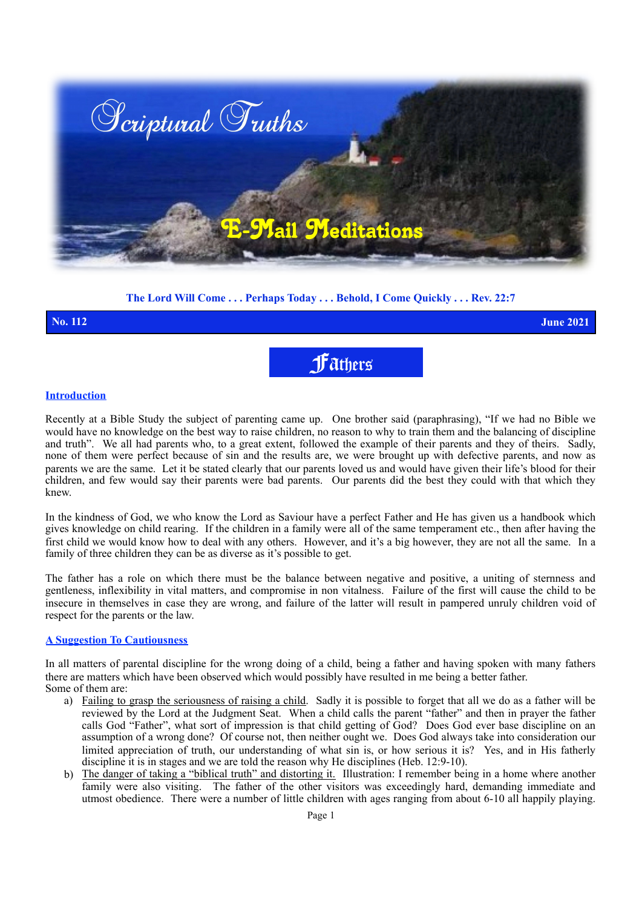

### **The Lord Will Come . . . Perhaps Today . . . Behold, I Come Quickly . . . Rev. 22:7**

# Fathers **No. 112 June 2021**

### **Introduction**

Recently at a Bible Study the subject of parenting came up. One brother said (paraphrasing), "If we had no Bible we would have no knowledge on the best way to raise children, no reason to why to train them and the balancing of discipline and truth". We all had parents who, to a great extent, followed the example of their parents and they of theirs. Sadly, none of them were perfect because of sin and the results are, we were brought up with defective parents, and now as parents we are the same. Let it be stated clearly that our parents loved us and would have given their life's blood for their children, and few would say their parents were bad parents. Our parents did the best they could with that which they knew.

In the kindness of God, we who know the Lord as Saviour have a perfect Father and He has given us a handbook which gives knowledge on child rearing. If the children in a family were all of the same temperament etc., then after having the first child we would know how to deal with any others. However, and it's a big however, they are not all the same. In a family of three children they can be as diverse as it's possible to get.

The father has a role on which there must be the balance between negative and positive, a uniting of sternness and gentleness, inflexibility in vital matters, and compromise in non vitalness. Failure of the first will cause the child to be insecure in themselves in case they are wrong, and failure of the latter will result in pampered unruly children void of respect for the parents or the law.

#### **A Suggestion To Cautiousness**

In all matters of parental discipline for the wrong doing of a child, being a father and having spoken with many fathers there are matters which have been observed which would possibly have resulted in me being a better father. Some of them are:

- a) Failing to grasp the seriousness of raising a child. Sadly it is possible to forget that all we do as a father will be reviewed by the Lord at the Judgment Seat. When a child calls the parent "father" and then in prayer the father calls God "Father", what sort of impression is that child getting of God? Does God ever base discipline on an assumption of a wrong done? Of course not, then neither ought we. Does God always take into consideration our limited appreciation of truth, our understanding of what sin is, or how serious it is? Yes, and in His fatherly discipline it is in stages and we are told the reason why He disciplines (Heb. 12:9-10).
- b) The danger of taking a "biblical truth" and distorting it. Illustration: I remember being in a home where another family were also visiting. The father of the other visitors was exceedingly hard, demanding immediate and utmost obedience. There were a number of little children with ages ranging from about 6-10 all happily playing.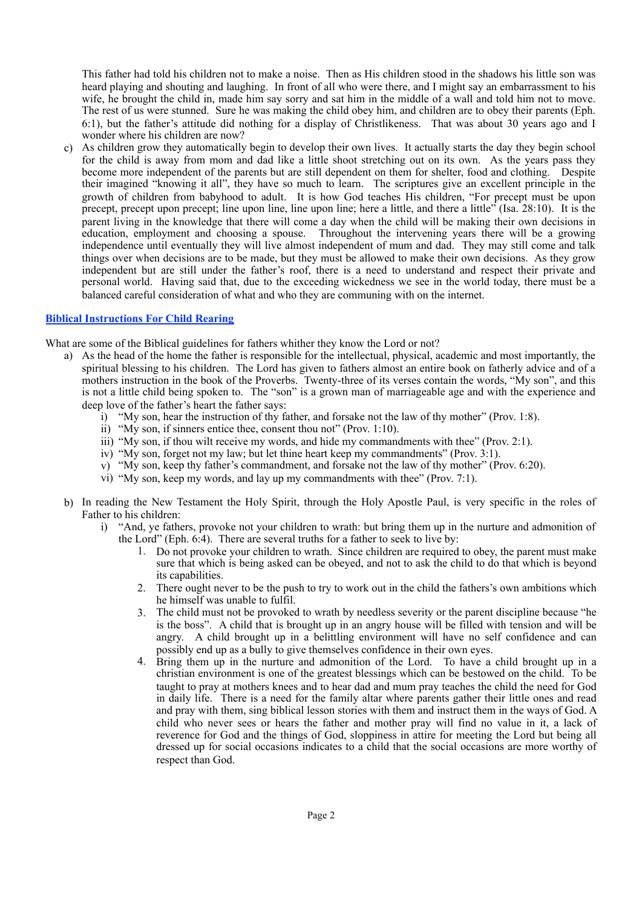This father had told his children not to make a noise. Then as His children stood in the shadows his little son was heard playing and shouting and laughing. In front of all who were there, and I might say an embarrassment to his wife, he brought the child in, made him say sorry and sat him in the middle of a wall and told him not to move. The rest of us were stunned. Sure he was making the child obey him, and children are to obey their parents (Eph. 6:1), but the father's attitude did nothing for a display of Christlikeness. That was about 30 years ago and I wonder where his children are now?

c) As children grow they automatically begin to develop their own lives. It actually starts the day they begin school for the child is away from mom and dad like a little shoot stretching out on its own. As the years pass they become more independent of the parents but are still dependent on them for shelter, food and clothing. Despite their imagined "knowing it all", they have so much to learn. The scriptures give an excellent principle in the growth of children from babyhood to adult. It is how God teaches His children, "For precept must be upon precept, precept upon precept; line upon line, line upon line; here a little, and there a little" (Isa. 28:10). It is the parent living in the knowledge that there will come a day when the child will be making their own decisions in education, employment and choosing a spouse. Throughout the intervening years there will be a growing independence until eventually they will live almost independent of mum and dad. They may still come and talk things over when decisions are to be made, but they must be allowed to make their own decisions. As they grow independent but are still under the father's roof, there is a need to understand and respect their private and personal world. Having said that, due to the exceeding wickedness we see in the world today, there must be a balanced careful consideration of what and who they are communing with on the internet.

#### **Biblical Instructions For Child Rearing**

What are some of the Biblical guidelines for fathers whither they know the Lord or not?

- a) As the head of the home the father is responsible for the intellectual, physical, academic and most importantly, the spiritual blessing to his children. The Lord has given to fathers almost an entire book on fatherly advice and of a mothers instruction in the book of the Proverbs. Twenty-three of its verses contain the words, "My son", and this is not a little child being spoken to. The "son" is a grown man of marriageable age and with the experience and deep love of the father's heart the father says:
	- i) "My son, hear the instruction of thy father, and forsake not the law of thy mother" (Prov. 1:8).
	- ii) "My son, if sinners entice thee, consent thou not" (Prov. 1:10).
	- iii) "My son, if thou wilt receive my words, and hide my commandments with thee" (Prov. 2:1).
	- iv) "My son, forget not my law; but let thine heart keep my commandments" (Prov. 3:1).
	- v) "My son, keep thy father's commandment, and forsake not the law of thy mother" (Prov. 6:20).
	- vi) "My son, keep my words, and lay up my commandments with thee" (Prov. 7:1).
- b) In reading the New Testament the Holy Spirit, through the Holy Apostle Paul, is very specific in the roles of Father to his children:
	- i) "And, ye fathers, provoke not your children to wrath: but bring them up in the nurture and admonition of the Lord" (Eph. 6:4). There are several truths for a father to seek to live by:
		- 1. Do not provoke your children to wrath. Since children are required to obey, the parent must make sure that which is being asked can be obeyed, and not to ask the child to do that which is beyond its capabilities.
		- 2. There ought never to be the push to try to work out in the child the fathers's own ambitions which he himself was unable to fulfil.
		- 3. The child must not be provoked to wrath by needless severity or the parent discipline because "he is the boss". A child that is brought up in an angry house will be filled with tension and will be angry. A child brought up in a belittling environment will have no self confidence and can possibly end up as a bully to give themselves confidence in their own eyes.
		- 4. Bring them up in the nurture and admonition of the Lord. To have a child brought up in a christian environment is one of the greatest blessings which can be bestowed on the child. To be taught to pray at mothers knees and to hear dad and mum pray teaches the child the need for God in daily life. There is a need for the family altar where parents gather their little ones and read and pray with them, sing biblical lesson stories with them and instruct them in the ways of God. A child who never sees or hears the father and mother pray will find no value in it, a lack of reverence for God and the things of God, sloppiness in attire for meeting the Lord but being all dressed up for social occasions indicates to a child that the social occasions are more worthy of respect than God.